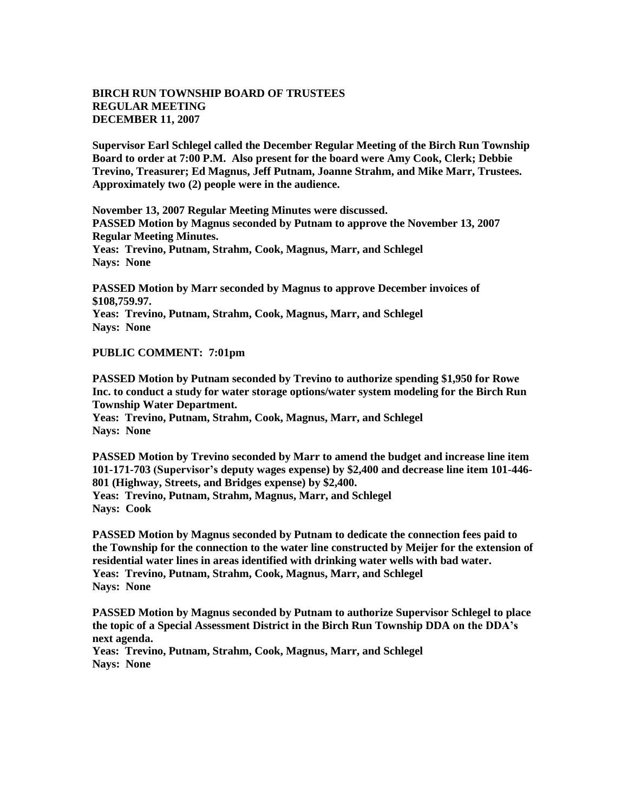## **BIRCH RUN TOWNSHIP BOARD OF TRUSTEES REGULAR MEETING DECEMBER 11, 2007**

**Supervisor Earl Schlegel called the December Regular Meeting of the Birch Run Township Board to order at 7:00 P.M. Also present for the board were Amy Cook, Clerk; Debbie Trevino, Treasurer; Ed Magnus, Jeff Putnam, Joanne Strahm, and Mike Marr, Trustees. Approximately two (2) people were in the audience.** 

**November 13, 2007 Regular Meeting Minutes were discussed. PASSED Motion by Magnus seconded by Putnam to approve the November 13, 2007 Regular Meeting Minutes. Yeas: Trevino, Putnam, Strahm, Cook, Magnus, Marr, and Schlegel Nays: None** 

**PASSED Motion by Marr seconded by Magnus to approve December invoices of \$108,759.97. Yeas: Trevino, Putnam, Strahm, Cook, Magnus, Marr, and Schlegel Nays: None** 

## **PUBLIC COMMENT: 7:01pm**

**PASSED Motion by Putnam seconded by Trevino to authorize spending \$1,950 for Rowe Inc. to conduct a study for water storage options/water system modeling for the Birch Run Township Water Department. Yeas: Trevino, Putnam, Strahm, Cook, Magnus, Marr, and Schlegel Nays: None** 

**PASSED Motion by Trevino seconded by Marr to amend the budget and increase line item 101-171-703 (Supervisor's deputy wages expense) by \$2,400 and decrease line item 101-446- 801 (Highway, Streets, and Bridges expense) by \$2,400. Yeas: Trevino, Putnam, Strahm, Magnus, Marr, and Schlegel Nays: Cook**

**PASSED Motion by Magnus seconded by Putnam to dedicate the connection fees paid to the Township for the connection to the water line constructed by Meijer for the extension of residential water lines in areas identified with drinking water wells with bad water. Yeas: Trevino, Putnam, Strahm, Cook, Magnus, Marr, and Schlegel Nays: None** 

**PASSED Motion by Magnus seconded by Putnam to authorize Supervisor Schlegel to place the topic of a Special Assessment District in the Birch Run Township DDA on the DDA's next agenda.** 

**Yeas: Trevino, Putnam, Strahm, Cook, Magnus, Marr, and Schlegel Nays: None**